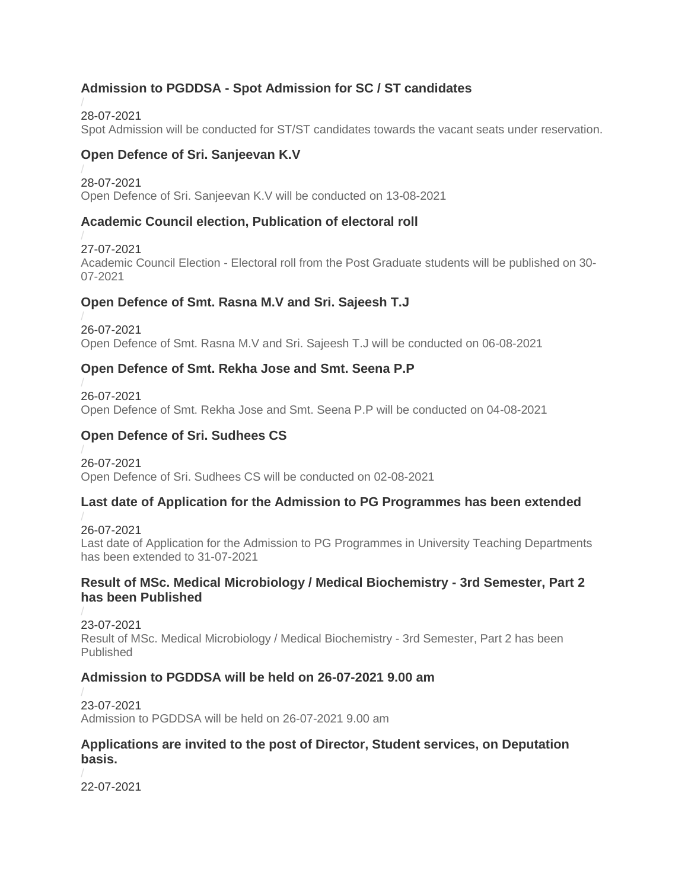# **Admission to PGDDSA - Spot Admission for SC / ST candidates**

28-07-2021 [Spot Admission will be conducted for ST/ST candidates towards the vacant seats under reservation.](https://kannuruniversity.ac.in/media/documents/Malayalam-_Spot_admission-_SC_ST_REGISTAR.pdf)

# **Open Defence of Sri. Sanjeevan K.V**

28-07-2021 [Open Defence of Sri. Sanjeevan K.V will be conducted on 13-08-2021](https://kannuruniversity.ac.in/media/documents/PR_Sanjeevan.pdf)

## **Academic Council election, Publication of electoral roll**

27-07-2021 Academic Council Election - [Electoral roll from the Post Graduate students will be published on 30-](https://kannuruniversity.ac.in/media/documents/pree_acad_council.pdf) [07-2021](https://kannuruniversity.ac.in/media/documents/pree_acad_council.pdf)

# **Open Defence of Smt. Rasna M.V and Sri. Sajeesh T.J**

26-07-2021 [Open Defence of Smt. Rasna M.V and Sri. Sajeesh T.J will be conducted on 06-08-2021](https://kannuruniversity.ac.in/media/documents/sajeesh_rasna_open_defence.pdf)

# **Open Defence of Smt. Rekha Jose and Smt. Seena P.P**

26-07-2021 [Open Defence of Smt. Rekha Jose and Smt. Seena P.P will be conducted on 04-08-2021](https://kannuruniversity.ac.in/media/documents/rekha_seena_open_defence.pdf)

# **Open Defence of Sri. Sudhees CS**

26-07-2021 [Open Defence of Sri. Sudhees CS will be conducted on 02-08-2021](https://kannuruniversity.ac.in/media/documents/sudheesh_c_s-pr-pdf.pdf)

## **Last date of Application for the Admission to PG Programmes has been extended**

26-07-2021 [Last date of Application for the Admission to PG Programmes in University Teaching Departments](https://kannuruniversity.ac.in/media/documents/deptpressrelease.pdf)  [has been extended to 31-07-2021](https://kannuruniversity.ac.in/media/documents/deptpressrelease.pdf)

### **Result of MSc. Medical Microbiology / Medical Biochemistry - 3rd Semester, Part 2 has been Published**

23-07-2021 [Result of MSc. Medical Microbiology / Medical Biochemistry -](https://kannuruniversity.ac.in/media/documents/EPI-II-12967-IIISEMM.Sc.MMB-MBC-NOV.2019.pdf) 3rd Semester, Part 2 has been [Published](https://kannuruniversity.ac.in/media/documents/EPI-II-12967-IIISEMM.Sc.MMB-MBC-NOV.2019.pdf)

## **Admission to PGDDSA will be held on 26-07-2021 9.00 am**

23-07-2021 [Admission to PGDDSA will be held on 26-07-2021 9.00 am](https://kannuruniversity.ac.in/media/documents/Malayalam-_admission_notification__1_.pdf)

#### **Applications are invited to the post of Director, Student services, on Deputation basis.**

22-07-2021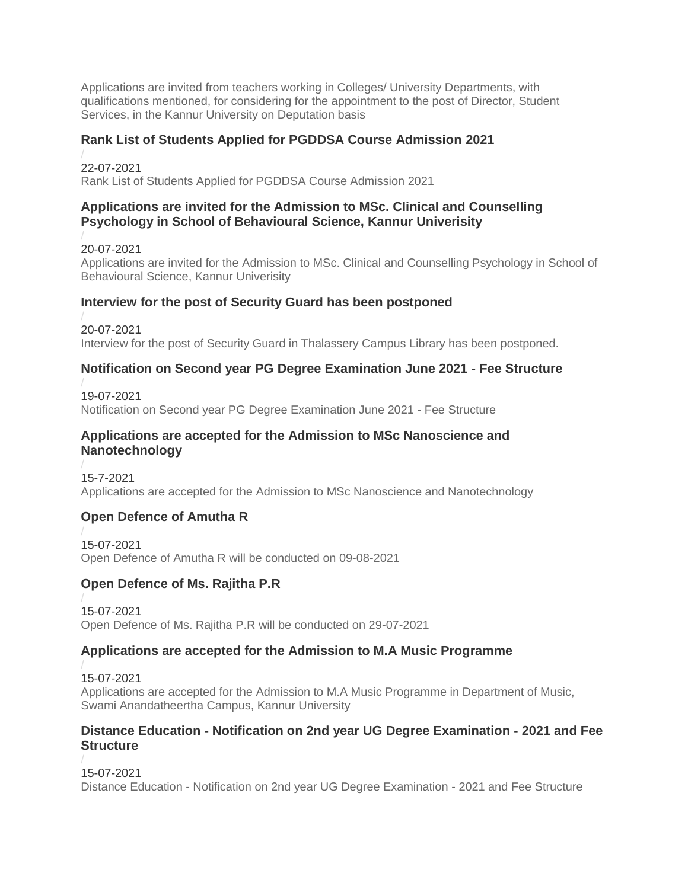[Applications are invited from teachers working in Colleges/ University Departments, with](https://kannuruniversity.ac.in/media/documents/Notification__Press_release-2.pdf)  [qualifications mentioned, for considering for the appointment to the post of Director, Student](https://kannuruniversity.ac.in/media/documents/Notification__Press_release-2.pdf)  [Services, in the Kannur University on Deputation basis](https://kannuruniversity.ac.in/media/documents/Notification__Press_release-2.pdf)

#### **Rank List of Students Applied for PGDDSA Course Admission 2021**

22-07-2021 [Rank List of Students Applied for PGDDSA Course Admission 2021](https://kannuruniversity.ac.in/media/documents/U.O.NOte_PGDDS-2-5.pdf)

### **Applications are invited for the Admission to MSc. Clinical and Counselling Psychology in School of Behavioural Science, Kannur Univerisity**

20-07-2021 [Applications are invited for the Admission to MSc. Clinical and Counselling Psychology in School of](https://kannuruniversity.ac.in/media/documents/admission_clinical_psychology_notification.pdf)  [Behavioural Science, Kannur Univerisity](https://kannuruniversity.ac.in/media/documents/admission_clinical_psychology_notification.pdf)

### **Interview for the post of Security Guard has been postponed**

20-07-2021 Interview for the post [of Security Guard in Thalassery Campus Library has been postponed.](https://kannuruniversity.ac.in/media/documents/press_interview_postponed.pdf)

### **Notification on Second year PG Degree Examination June 2021 - Fee Structure**

19-07-2021 [Notification on Second year PG Degree Examination June 2021 -](https://kannuruniversity.ac.in/media/documents/sde_fee_notification.pdf) Fee Structure

#### **Applications are accepted for the Admission to MSc Nanoscience and Nanotechnology**

15-7-2021 [Applications are accepted for the Admission to MSc Nanoscience and Nanotechnology](https://kannuruniversity.ac.in/media/documents/Admission_Press_Release-2021-22.pdf)

## **Open Defence of Amutha R**

15-07-2021 [Open Defence of Amutha R will be conducted on 09-08-2021](https://kannuruniversity.ac.in/media/documents/amutha-1.pdf)

## **Open Defence of Ms. Rajitha P.R**

15-07-2021 [Open Defence of Ms. Rajitha P.R will be conducted on 29-07-2021](https://kannuruniversity.ac.in/media/documents/Rejitha_PR_PR_1.pdf)

## **Applications are accepted for the Admission to M.A Music Programme**

15-07-2021 [Applications are accepted for the Admission to M.A Music Programme in Department of Music,](https://kannuruniversity.ac.in/media/documents/music_admisison.pdf)  [Swami Anandatheertha Campus, Kannur University](https://kannuruniversity.ac.in/media/documents/music_admisison.pdf)

#### **Distance Education - Notification on 2nd year UG Degree Examination - 2021 and Fee Structure**

15-07-2021 Distance Education - [Notification on 2nd year UG Degree Examination -](https://kannuruniversity.ac.in/media/documents/sde_press_14-07-2021.pdf) 2021 and Fee Structure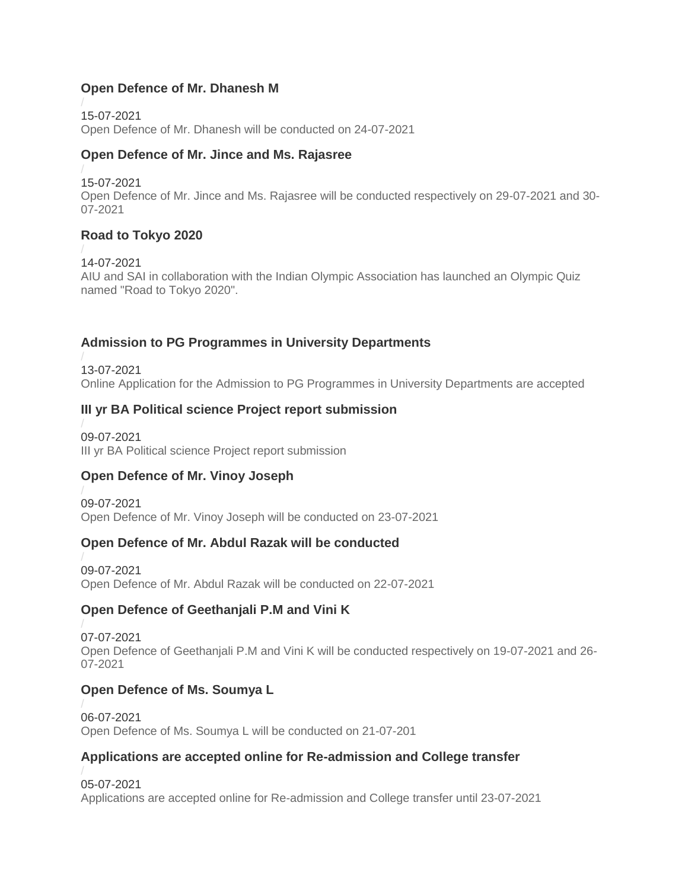### **Open Defence of Mr. Dhanesh M**

15-07-2021 [Open Defence of Mr. Dhanesh will be conducted on 24-07-2021](https://kannuruniversity.ac.in/media/documents/PR_Dhanesh_M.pdf)

### **Open Defence of Mr. Jince and Ms. Rajasree**

15-07-2021

[Open Defence of Mr. Jince and Ms. Rajasree will be conducted respectively on 29-07-2021 and 30-](https://kannuruniversity.ac.in/media/documents/open_defence_jincerajasree.pdf) [07-2021](https://kannuruniversity.ac.in/media/documents/open_defence_jincerajasree.pdf)

## **Road to Tokyo 2020**

14-07-2021 [AIU and SAI in collaboration with the Indian Olympic Association has launched an Olympic Quiz](https://kannuruniversity.ac.in/media/documents/road_to_tokyo.pdf)  [named "Road to Tokyo 2020".](https://kannuruniversity.ac.in/media/documents/road_to_tokyo.pdf)

## **Admission to PG Programmes in University Departments**

13-07-2021 [Online Application for the Admission to PG Programmes in University Departments are accepted](https://kannuruniversity.ac.in/media/documents/Dept-registrn-12.07.2021.pdf)

## **III yr BA Political science Project report submission**

09-07-2021 [III yr BA Political science Project report submission](https://kannuruniversity.ac.in/media/documents/press_releae.pdf)

## **Open Defence of Mr. Vinoy Joseph**

09-07-2021 [Open Defence of Mr. Vinoy Joseph will be conducted on 23-07-2021](https://kannuruniversity.ac.in/media/documents/Press_Release_Vinoy_Joseph.pdf)

## **Open Defence of Mr. Abdul Razak will be conducted**

09-07-2021 [Open Defence of Mr. Abdul Razak will be conducted on 22-07-2021](https://kannuruniversity.ac.in/media/documents/od_press_release-converted.pdf)

## **Open Defence of Geethanjali P.M and Vini K**

07-07-2021 [Open Defence of Geethanjali P.M and Vini K will be conducted respectively on 19-07-2021 and 26-](https://kannuruniversity.ac.in/media/documents/open_defence_07-07-2021.pdf) [07-2021](https://kannuruniversity.ac.in/media/documents/open_defence_07-07-2021.pdf)

## **Open Defence of Ms. Soumya L**

06-07-2021 Open Defence of Ms. Soumya [L will be conducted on 21-07-201](https://kannuruniversity.ac.in/media/documents/Soumya_PR.pdf)

## **Applications are accepted online for Re-admission and College transfer**

05-07-2021 [Applications are accepted online for Re-admission and College transfer until 23-07-2021](https://kannuruniversity.ac.in/media/documents/press_readmission.pdf)